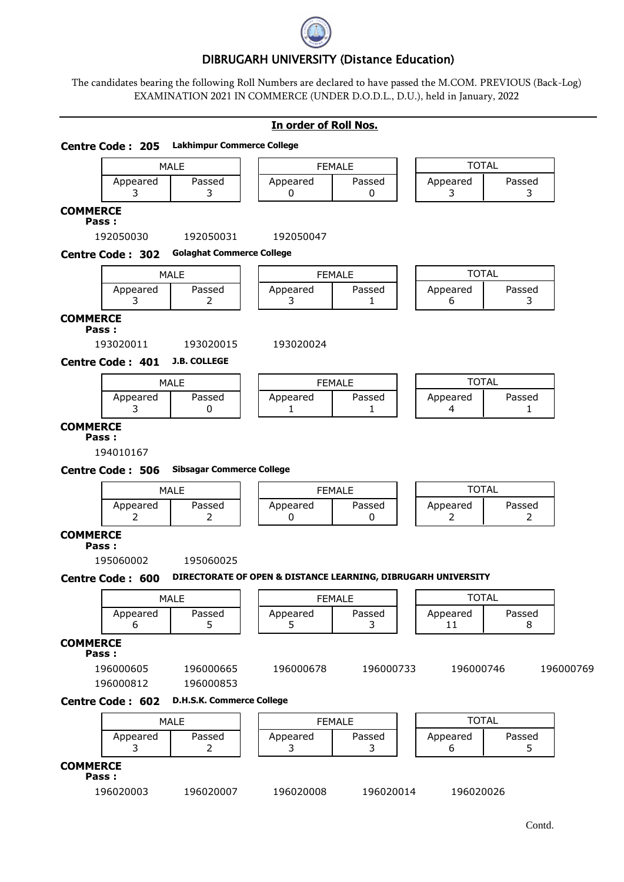

# DIBRUGARH UNIVERSITY (Distance Education)

The candidates bearing the following Roll Numbers are declared to have passed the M.COM. PREVIOUS (Back-Log) EXAMINATION 2021 IN COMMERCE (UNDER D.O.D.L., D.U.), held in January, 2022

## **In order of Roll Nos.**

| <b>Centre Code: 205</b>  | <b>Lakhimpur Commerce College</b> |                                                               |             |               |              |  |  |  |
|--------------------------|-----------------------------------|---------------------------------------------------------------|-------------|---------------|--------------|--|--|--|
|                          | <b>MALE</b>                       | <b>FEMALE</b>                                                 |             | <b>TOTAL</b>  |              |  |  |  |
| Appeared<br>3            | Passed<br>3                       | Appeared<br>0                                                 | Passed<br>0 | Appeared<br>3 | Passed<br>3  |  |  |  |
| <b>COMMERCE</b><br>Pass: |                                   |                                                               |             |               |              |  |  |  |
| 192050030                | 192050031                         | 192050047                                                     |             |               |              |  |  |  |
| <b>Centre Code: 302</b>  | <b>Golaghat Commerce College</b>  |                                                               |             |               |              |  |  |  |
|                          | <b>MALE</b>                       | <b>FEMALE</b>                                                 |             |               | <b>TOTAL</b> |  |  |  |
| Appeared<br>3            | Passed<br>2                       | Appeared<br>3                                                 | Passed<br>1 | Appeared<br>6 | Passed<br>3  |  |  |  |
| <b>COMMERCE</b><br>Pass: |                                   |                                                               |             |               |              |  |  |  |
| 193020011                | 193020015                         | 193020024                                                     |             |               |              |  |  |  |
| <b>Centre Code: 401</b>  | <b>J.B. COLLEGE</b>               |                                                               |             |               |              |  |  |  |
|                          | <b>MALE</b>                       | <b>FEMALE</b>                                                 |             | <b>TOTAL</b>  |              |  |  |  |
| Appeared<br>3            | Passed<br>0                       | Appeared<br>1                                                 | Passed<br>1 | Appeared<br>4 | Passed<br>1  |  |  |  |
| <b>COMMERCE</b><br>Pass: |                                   |                                                               |             |               |              |  |  |  |
| 194010167                |                                   |                                                               |             |               |              |  |  |  |
| <b>Centre Code: 506</b>  | <b>Sibsagar Commerce College</b>  |                                                               |             |               |              |  |  |  |
|                          | <b>MALE</b>                       | <b>FEMALE</b>                                                 |             | <b>TOTAL</b>  |              |  |  |  |
| Appeared<br>2            | Passed<br>2                       | Appeared<br>0                                                 | Passed<br>0 | Appeared<br>2 | Passed<br>2  |  |  |  |
| <b>COMMERCE</b>          |                                   |                                                               |             |               |              |  |  |  |
| Pass:<br>195060002       | 195060025                         |                                                               |             |               |              |  |  |  |
| Centre Code: 600         |                                   | DIRECTORATE OF OPEN & DISTANCE LEARNING, DIBRUGARH UNIVERSITY |             |               |              |  |  |  |
|                          |                                   |                                                               |             | <b>TOTAL</b>  |              |  |  |  |
| Appeared                 | MALE<br>Passed                    | <b>FEMALE</b><br>Appeared                                     | Passed      | Appeared      | Passed       |  |  |  |
| 6                        | 5                                 | 5                                                             | 3           | 11            | 8            |  |  |  |
| <b>COMMERCE</b>          |                                   |                                                               |             |               |              |  |  |  |
| Pass:                    |                                   |                                                               |             |               |              |  |  |  |
| 196000605<br>196000812   | 196000665<br>196000853            | 196000678                                                     | 196000733   | 196000746     | 196000769    |  |  |  |
| <b>Centre Code: 602</b>  | <b>D.H.S.K. Commerce College</b>  |                                                               |             |               |              |  |  |  |
|                          |                                   |                                                               |             |               | <b>TOTAL</b> |  |  |  |
|                          |                                   | <b>FEMALE</b>                                                 |             |               |              |  |  |  |
|                          | <b>MALE</b>                       |                                                               |             |               |              |  |  |  |
| Appeared<br>3            | Passed<br>$\overline{2}$          | Appeared<br>3                                                 | Passed<br>3 | Appeared<br>6 | Passed<br>5. |  |  |  |
| <b>COMMERCE</b><br>Pass: |                                   |                                                               |             |               |              |  |  |  |